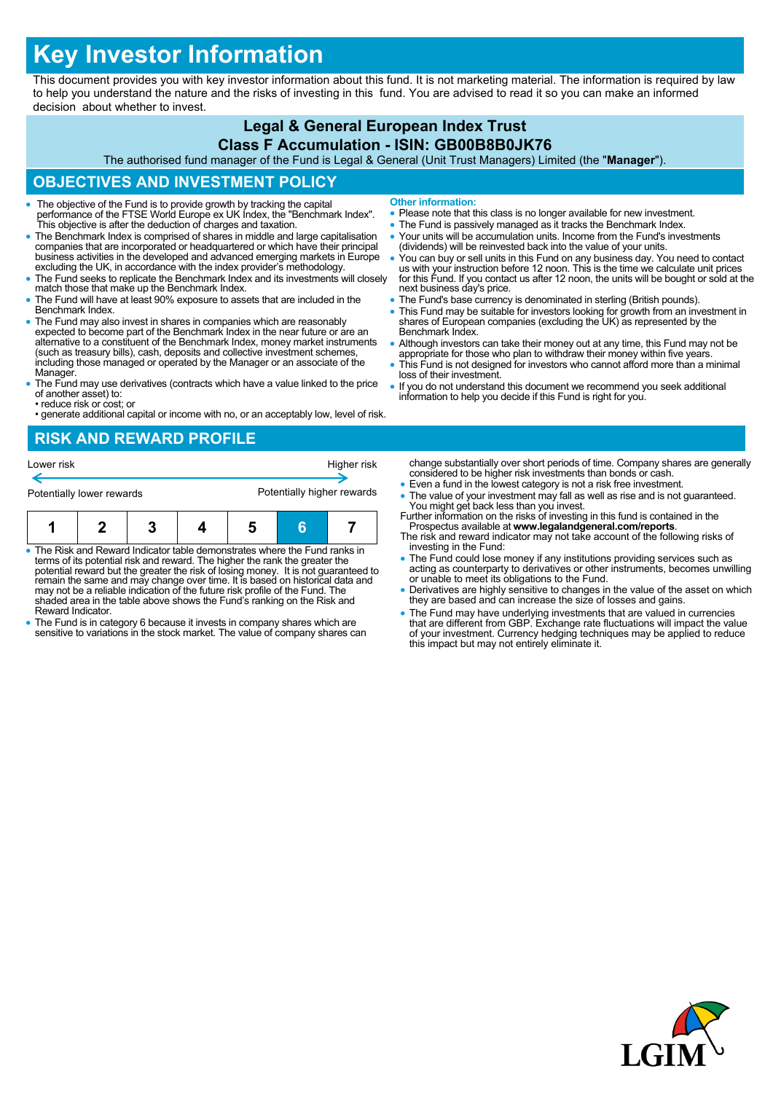# **Key Investor Information**

This document provides you with key investor information about this fund. It is not marketing material. The information is required by law to help you understand the nature and the risks of investing in this fund. You are advised to read it so you can make an informed decision about whether to invest.

#### **Legal & General European Index Trust Class F Accumulation - ISIN: GB00B8B0JK76**

The authorised fund manager of the Fund is Legal & General (Unit Trust Managers) Limited (the "**Manager**").

# **OBJECTIVES AND INVESTMENT POLICY**

- The objective of the Fund is to provide growth by tracking the capital performance of the FTSE World Europe ex UK Index, the "Benchmark Index". This objective is after the deduction of charges and taxation.
- The Benchmark Index is comprised of shares in middle and large capitalisation companies that are incorporated or headquartered or which have their principal business activities in the developed and advanced emerging markets in Europe excluding the UK, in accordance with the index provider's methodology.
- The Fund seeks to replicate the Benchmark Index and its investments will closely match those that make up the Benchmark Index.
- The Fund will have at least 90% exposure to assets that are included in the Benchmark Index.
- The Fund may also invest in shares in companies which are reasonably expected to become part of the Benchmark Index in the near future or are an alternative to a constituent of the Benchmark Index, money market instruments (such as treasury bills), cash, deposits and collective investment schemes, including those managed or operated by the Manager or an associate of the Manager.
- The Fund may use derivatives (contracts which have a value linked to the price of another asset) to: • reduce risk or cost; or
- generate additional capital or income with no, or an acceptably low, level of risk.

# **RISK AND REWARD PROFILE**

| Lower risk                |  |  | Higher risk |                            |  |  |
|---------------------------|--|--|-------------|----------------------------|--|--|
| Potentially lower rewards |  |  |             | Potentially higher rewards |  |  |
|                           |  |  |             |                            |  |  |

| • The Risk and Reward Indicator table demonstrates where the Fund ranks in<br>terms of its potential risk and reward. The higher the rank the greater the<br>potential reward but the greater the risk of losing money. It is not quaranteed to<br>remain the same and may change over time. It is based on historical data and |  |  |  |  |  |  |  |  |
|---------------------------------------------------------------------------------------------------------------------------------------------------------------------------------------------------------------------------------------------------------------------------------------------------------------------------------|--|--|--|--|--|--|--|--|

- remain the same and may change over time. It is based on historical data and may not be a reliable indication of the future risk profile of the Fund. The shaded area in the table above shows the Fund's ranking on the Risk and Reward Indicator.
- The Fund is in category 6 because it invests in company shares which are sensitive to variations in the stock market. The value of company shares can
- **Other information:**
- Please note that this class is no longer available for new investment.
- The Fund is passively managed as it tracks the Benchmark Index.
- Your units will be accumulation units. Income from the Fund's investments (dividends) will be reinvested back into the value of your units.
- You can buy or sell units in this Fund on any business day. You need to contact us with your instruction before 12 noon. This is the time we calculate unit prices for this Fund. If you contact us after 12 noon, the units will be bought or sold at the next business day's price.
- The Fund's base currency is denominated in sterling (British pounds).
- This Fund may be suitable for investors looking for growth from an investment in shares of European companies (excluding the UK) as represented by the Benchmark Index.
- Although investors can take their money out at any time, this Fund may not be appropriate for those who plan to withdraw their money within five years.
- This Fund is not designed for investors who cannot afford more than a minimal loss of their investment.
- If you do not understand this document we recommend you seek additional information to help you decide if this Fund is right for you.

change substantially over short periods of time. Company shares are generally considered to be higher risk investments than bonds or cash.

- Even a fund in the lowest category is not a risk free investment. • The value of your investment may fall as well as rise and is not quaranteed. You might get back less than you invest.
- Further information on the risks of investing in this fund is contained in the
- Prospectus available at **www.legalandgeneral.com/reports**. The risk and reward indicator may not take account of the following risks of investing in the Fund:
- The Fund could lose money if any institutions providing services such as acting as counterparty to derivatives or other instruments, becomes unwilling or unable to meet its obligations to the Fund.
- Derivatives are highly sensitive to changes in the value of the asset on which they are based and can increase the size of losses and gains.
- The Fund may have underlying investments that are valued in currencies that are different from GBP. Exchange rate fluctuations will impact the value of your investment. Currency hedging techniques may be applied to reduce this impact but may not entirely eliminate it.